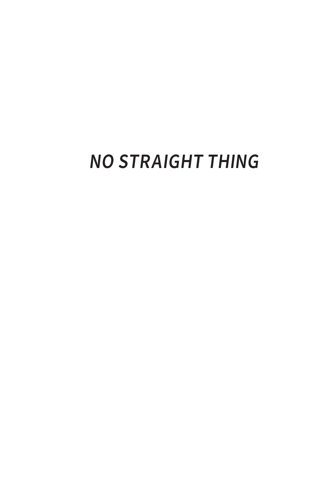### NO STRAIGHT THING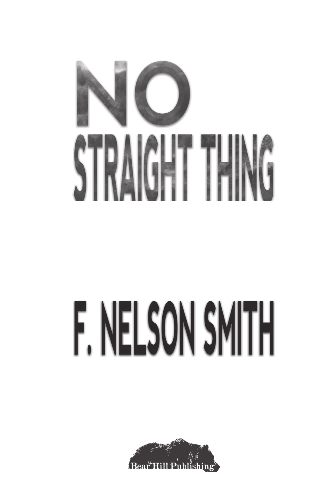

# **F. NELSON SMITH**

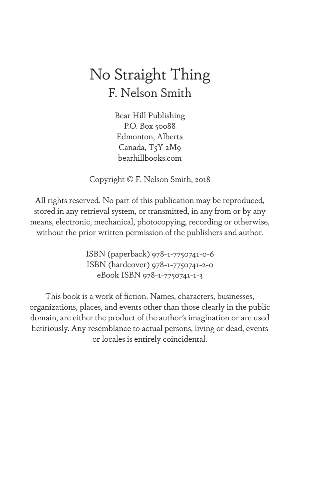#### No Straight Thing F. Nelson Smith

Bear Hill Publishing P.O. Box 50088 Edmonton, Alberta Canada, T5Y 2M9 bearhillbooks.com

Copyright © F. Nelson Smith, 2018

All rights reserved. No part of this publication may be reproduced, stored in any retrieval system, or transmitted, in any from or by any means, electronic, mechanical, photocopying, recording or otherwise, without the prior written permission of the publishers and author.

> ISBN (paperback) 978-1-7750741-0-6 ISBN (hardcover) 978-1-7750741-2-0 eBook ISBN 978-1-7750741-1-3

This book is a work of fiction. Names, characters, businesses, organizations, places, and events other than those clearly in the public domain, are either the product of the author's imagination or are used fictitiously. Any resemblance to actual persons, living or dead, events or locales is entirely coincidental.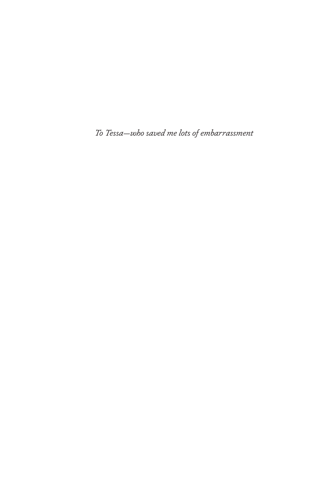*To Tessa—who saved me lots of embarrassment*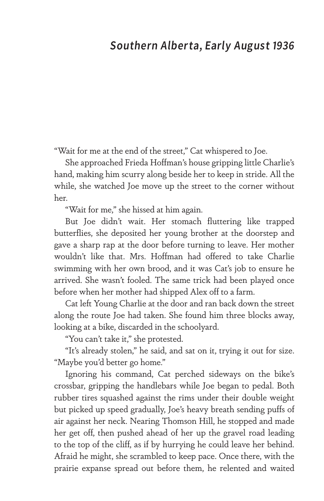#### Southern Alberta, Early August 1936

"Wait for me at the end of the street," Cat whispered to Joe.

She approached Frieda Hoffman's house gripping little Charlie's hand, making him scurry along beside her to keep in stride. All the while, she watched Joe move up the street to the corner without her.

"Wait for me," she hissed at him again.

But Joe didn't wait. Her stomach fluttering like trapped butterflies, she deposited her young brother at the doorstep and gave a sharp rap at the door before turning to leave. Her mother wouldn't like that. Mrs. Hoffman had offered to take Charlie swimming with her own brood, and it was Cat's job to ensure he arrived. She wasn't fooled. The same trick had been played once before when her mother had shipped Alex off to a farm.

Cat left Young Charlie at the door and ran back down the street along the route Joe had taken. She found him three blocks away, looking at a bike, discarded in the schoolyard.

"You can't take it," she protested.

"It's already stolen," he said, and sat on it, trying it out for size. "Maybe you'd better go home."

Ignoring his command, Cat perched sideways on the bike's crossbar, gripping the handlebars while Joe began to pedal. Both rubber tires squashed against the rims under their double weight but picked up speed gradually, Joe's heavy breath sending puffs of air against her neck. Nearing Thomson Hill, he stopped and made her get off, then pushed ahead of her up the gravel road leading to the top of the cliff, as if by hurrying he could leave her behind. Afraid he might, she scrambled to keep pace. Once there, with the prairie expanse spread out before them, he relented and waited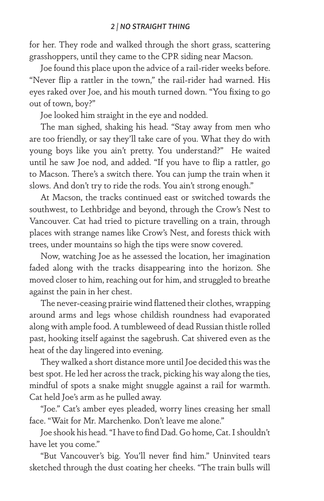for her. They rode and walked through the short grass, scattering grasshoppers, until they came to the CPR siding near Macson.

Joe found this place upon the advice of a rail-rider weeks before. "Never flip a rattler in the town," the rail-rider had warned. His eyes raked over Joe, and his mouth turned down. "You fixing to go out of town, boy?"

Joe looked him straight in the eye and nodded.

The man sighed, shaking his head. "Stay away from men who are too friendly, or say they'll take care of you. What they do with young boys like you ain't pretty. You understand?" He waited until he saw Joe nod, and added. "If you have to flip a rattler, go to Macson. There's a switch there. You can jump the train when it slows. And don't try to ride the rods. You ain't strong enough."

At Macson, the tracks continued east or switched towards the southwest, to Lethbridge and beyond, through the Crow's Nest to Vancouver. Cat had tried to picture travelling on a train, through places with strange names like Crow's Nest, and forests thick with trees, under mountains so high the tips were snow covered.

Now, watching Joe as he assessed the location, her imagination faded along with the tracks disappearing into the horizon. She moved closer to him, reaching out for him, and struggled to breathe against the pain in her chest.

The never-ceasing prairie wind flattened their clothes, wrapping around arms and legs whose childish roundness had evaporated along with ample food. A tumbleweed of dead Russian thistle rolled past, hooking itself against the sagebrush. Cat shivered even as the heat of the day lingered into evening.

They walked a short distance more until Joe decided this was the best spot. He led her across the track, picking his way along the ties, mindful of spots a snake might snuggle against a rail for warmth. Cat held Joe's arm as he pulled away.

"Joe." Cat's amber eyes pleaded, worry lines creasing her small face. "Wait for Mr. Marchenko. Don't leave me alone."

Joe shook his head. "I have to find Dad. Go home, Cat. I shouldn't have let you come."

"But Vancouver's big. You'll never find him." Uninvited tears sketched through the dust coating her cheeks. "The train bulls will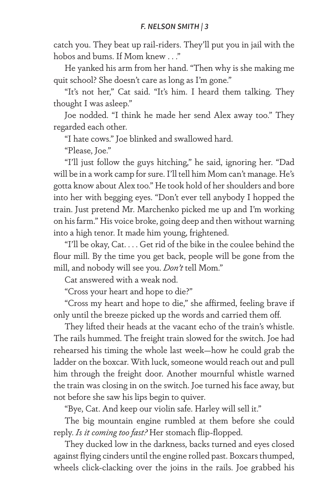catch you. They beat up rail-riders. They'll put you in jail with the hobos and bums. If Mom knew . . ."

He yanked his arm from her hand. "Then why is she making me quit school? She doesn't care as long as I'm gone."

"It's not her," Cat said. "It's him. I heard them talking. They thought I was asleep."

Joe nodded. "I think he made her send Alex away too." They regarded each other.

"I hate cows." Joe blinked and swallowed hard.

"Please, Joe."

"I'll just follow the guys hitching," he said, ignoring her. "Dad will be in a work camp for sure. I'll tell him Mom can't manage. He's gotta know about Alex too." He took hold of her shoulders and bore into her with begging eyes. "Don't ever tell anybody I hopped the train. Just pretend Mr. Marchenko picked me up and I'm working on his farm." His voice broke, going deep and then without warning into a high tenor. It made him young, frightened.

"I'll be okay, Cat. . . . Get rid of the bike in the coulee behind the flour mill. By the time you get back, people will be gone from the mill, and nobody will see you. *Don't* tell Mom."

Cat answered with a weak nod.

"Cross your heart and hope to die?"

"Cross my heart and hope to die," she affirmed, feeling brave if only until the breeze picked up the words and carried them off.

They lifted their heads at the vacant echo of the train's whistle. The rails hummed. The freight train slowed for the switch. Joe had rehearsed his timing the whole last week—how he could grab the ladder on the boxcar. With luck, someone would reach out and pull him through the freight door. Another mournful whistle warned the train was closing in on the switch. Joe turned his face away, but not before she saw his lips begin to quiver.

"Bye, Cat. And keep our violin safe. Harley will sell it."

The big mountain engine rumbled at them before she could reply. *Is it coming too fast?* Her stomach flip-flopped.

They ducked low in the darkness, backs turned and eyes closed against flying cinders until the engine rolled past. Boxcars thumped, wheels click-clacking over the joins in the rails. Joe grabbed his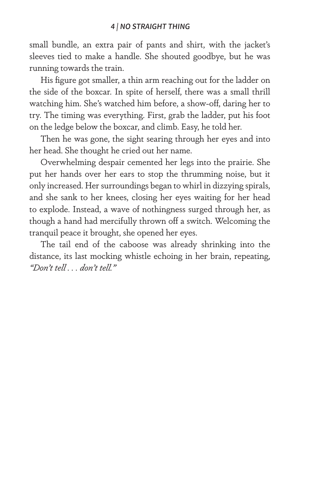small bundle, an extra pair of pants and shirt, with the jacket's sleeves tied to make a handle. She shouted goodbye, but he was running towards the train.

His figure got smaller, a thin arm reaching out for the ladder on the side of the boxcar. In spite of herself, there was a small thrill watching him. She's watched him before, a show-off, daring her to try. The timing was everything. First, grab the ladder, put his foot on the ledge below the boxcar, and climb. Easy, he told her.

Then he was gone, the sight searing through her eyes and into her head. She thought he cried out her name.

Overwhelming despair cemented her legs into the prairie. She put her hands over her ears to stop the thrumming noise, but it only increased. Her surroundings began to whirl in dizzying spirals, and she sank to her knees, closing her eyes waiting for her head to explode. Instead, a wave of nothingness surged through her, as though a hand had mercifully thrown off a switch. Welcoming the tranquil peace it brought, she opened her eyes.

The tail end of the caboose was already shrinking into the distance, its last mocking whistle echoing in her brain, repeating, *"Don't tell . . . don't tell."*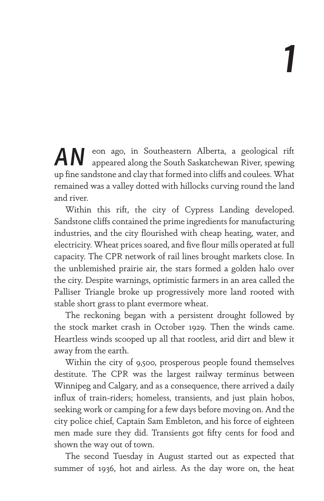1

AN eon ago, in Southeastern Alberta, a geological rift appeared along the South Saskatchewan River, spewing up fine sandstone and clay that formed into cliffs and coulees. What remained was a valley dotted with hillocks curving round the land and river.

Within this rift, the city of Cypress Landing developed. Sandstone cliffs contained the prime ingredients for manufacturing industries, and the city flourished with cheap heating, water, and electricity. Wheat prices soared, and five flour mills operated at full capacity. The CPR network of rail lines brought markets close. In the unblemished prairie air, the stars formed a golden halo over the city. Despite warnings, optimistic farmers in an area called the Palliser Triangle broke up progressively more land rooted with stable short grass to plant evermore wheat.

The reckoning began with a persistent drought followed by the stock market crash in October 1929. Then the winds came. Heartless winds scooped up all that rootless, arid dirt and blew it away from the earth.

Within the city of 9,500, prosperous people found themselves destitute. The CPR was the largest railway terminus between Winnipeg and Calgary, and as a consequence, there arrived a daily influx of train-riders; homeless, transients, and just plain hobos, seeking work or camping for a few days before moving on. And the city police chief, Captain Sam Embleton, and his force of eighteen men made sure they did. Transients got fifty cents for food and shown the way out of town.

The second Tuesday in August started out as expected that summer of 1936, hot and airless. As the day wore on, the heat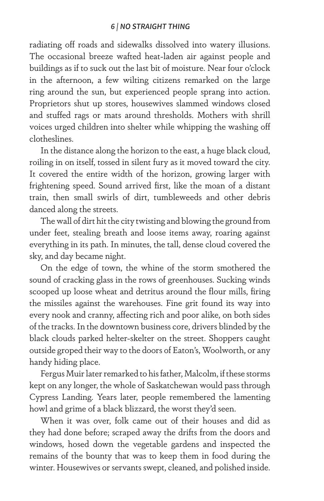#### 6 | NO STRAIGHT THING

radiating off roads and sidewalks dissolved into watery illusions. The occasional breeze wafted heat-laden air against people and buildings as if to suck out the last bit of moisture. Near four o'clock in the afternoon, a few wilting citizens remarked on the large ring around the sun, but experienced people sprang into action. Proprietors shut up stores, housewives slammed windows closed and stuffed rags or mats around thresholds. Mothers with shrill voices urged children into shelter while whipping the washing off clotheslines.

In the distance along the horizon to the east, a huge black cloud, roiling in on itself, tossed in silent fury as it moved toward the city. It covered the entire width of the horizon, growing larger with frightening speed. Sound arrived first, like the moan of a distant train, then small swirls of dirt, tumbleweeds and other debris danced along the streets.

The wall of dirt hit the city twisting and blowing the ground from under feet, stealing breath and loose items away, roaring against everything in its path. In minutes, the tall, dense cloud covered the sky, and day became night.

On the edge of town, the whine of the storm smothered the sound of cracking glass in the rows of greenhouses. Sucking winds scooped up loose wheat and detritus around the flour mills, firing the missiles against the warehouses. Fine grit found its way into every nook and cranny, affecting rich and poor alike, on both sides of the tracks. In the downtown business core, drivers blinded by the black clouds parked helter-skelter on the street. Shoppers caught outside groped their way to the doors of Eaton's, Woolworth, or any handy hiding place.

Fergus Muir later remarked to his father, Malcolm, if these storms kept on any longer, the whole of Saskatchewan would pass through Cypress Landing. Years later, people remembered the lamenting howl and grime of a black blizzard, the worst they'd seen.

When it was over, folk came out of their houses and did as they had done before; scraped away the drifts from the doors and windows, hosed down the vegetable gardens and inspected the remains of the bounty that was to keep them in food during the winter. Housewives or servants swept, cleaned, and polished inside.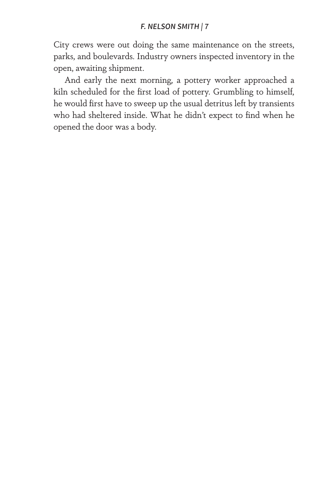City crews were out doing the same maintenance on the streets, parks, and boulevards. Industry owners inspected inventory in the open, awaiting shipment.

And early the next morning, a pottery worker approached a kiln scheduled for the first load of pottery. Grumbling to himself, he would first have to sweep up the usual detritus left by transients who had sheltered inside. What he didn't expect to find when he opened the door was a body.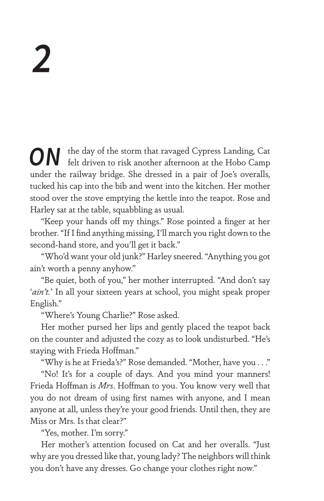## 2

ON the day of the storm that ravaged Cypress Landing, Cat felt driven to risk another afternoon at the Hobo Camp under the railway bridge. She dressed in a pair of Joe's overalls, tucked his cap into the bib and went into the kitchen. Her mother stood over the stove emptying the kettle into the teapot. Rose and Harley sat at the table, squabbling as usual.

"Keep your hands off my things." Rose pointed a finger at her brother. "If I find anything missing, I'll march you right down to the second-hand store, and you'll get it back."

"Who'd want your old junk?" Harley sneered. "Anything you got ain't worth a penny anyhow."

"Be quiet, both of you," her mother interrupted. "And don't say '*ain't.*' In all your sixteen years at school, you might speak proper English."

"Where's Young Charlie?" Rose asked.

Her mother pursed her lips and gently placed the teapot back on the counter and adjusted the cozy as to look undisturbed. "He's staying with Frieda Hoffman."

"Why is he at Frieda's?" Rose demanded. "Mother, have you . . ."

"No! It's for a couple of days. And you mind your manners! Frieda Hoffman is *Mrs*. Hoffman to you. You know very well that you do not dream of using first names with anyone, and I mean anyone at all, unless they're your good friends. Until then, they are Miss or Mrs. Is that clear?"

"Yes, mother. I'm sorry."

Her mother's attention focused on Cat and her overalls. "Just why are you dressed like that, young lady? The neighbors will think you don't have any dresses. Go change your clothes right now."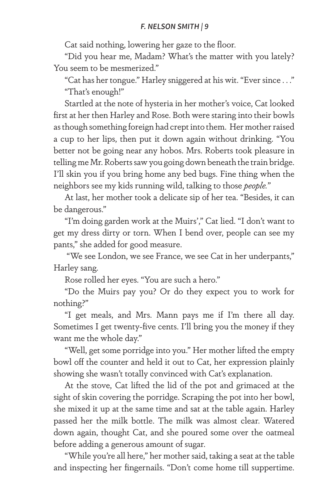Cat said nothing, lowering her gaze to the floor.

"Did you hear me, Madam? What's the matter with you lately? You seem to be mesmerized."

"Cat has her tongue." Harley sniggered at his wit. "Ever since . . ." "That's enough!"

Startled at the note of hysteria in her mother's voice, Cat looked first at her then Harley and Rose. Both were staring into their bowls as though something foreign had crept into them. Her mother raised a cup to her lips, then put it down again without drinking. "You better not be going near any hobos. Mrs. Roberts took pleasure in telling me Mr. Roberts saw you going down beneath the train bridge. I'll skin you if you bring home any bed bugs. Fine thing when the neighbors see my kids running wild, talking to those *people.*"

At last, her mother took a delicate sip of her tea. "Besides, it can be dangerous."

"I'm doing garden work at the Muirs'," Cat lied. "I don't want to get my dress dirty or torn. When I bend over, people can see my pants," she added for good measure.

 "We see London, we see France, we see Cat in her underpants," Harley sang.

Rose rolled her eyes. "You are such a hero."

"Do the Muirs pay you? Or do they expect you to work for nothing?"

"I get meals, and Mrs. Mann pays me if I'm there all day. Sometimes I get twenty-five cents. I'll bring you the money if they want me the whole day."

"Well, get some porridge into you." Her mother lifted the empty bowl off the counter and held it out to Cat, her expression plainly showing she wasn't totally convinced with Cat's explanation.

At the stove, Cat lifted the lid of the pot and grimaced at the sight of skin covering the porridge. Scraping the pot into her bowl, she mixed it up at the same time and sat at the table again. Harley passed her the milk bottle. The milk was almost clear. Watered down again, thought Cat, and she poured some over the oatmeal before adding a generous amount of sugar.

"While you're all here," her mother said, taking a seat at the table and inspecting her fingernails. "Don't come home till suppertime.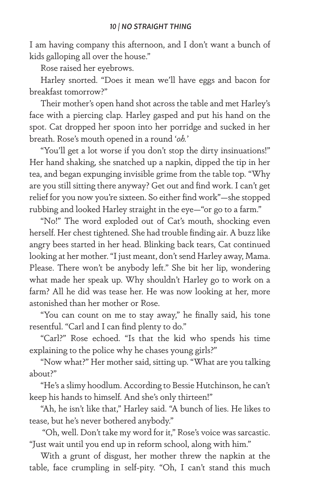I am having company this afternoon, and I don't want a bunch of kids galloping all over the house."

Rose raised her eyebrows.

Harley snorted. "Does it mean we'll have eggs and bacon for breakfast tomorrow?"

Their mother's open hand shot across the table and met Harley's face with a piercing clap. Harley gasped and put his hand on the spot. Cat dropped her spoon into her porridge and sucked in her breath. Rose's mouth opened in a round '*oh.*'

"You'll get a lot worse if you don't stop the dirty insinuations!" Her hand shaking, she snatched up a napkin, dipped the tip in her tea, and began expunging invisible grime from the table top. "Why are you still sitting there anyway? Get out and find work. I can't get relief for you now you're sixteen. So either find work"—she stopped rubbing and looked Harley straight in the eye—"or go to a farm."

"No!" The word exploded out of Cat's mouth, shocking even herself. Her chest tightened. She had trouble finding air. A buzz like angry bees started in her head. Blinking back tears, Cat continued looking at her mother. "I just meant, don't send Harley away, Mama. Please. There won't be anybody left." She bit her lip, wondering what made her speak up. Why shouldn't Harley go to work on a farm? All he did was tease her. He was now looking at her, more astonished than her mother or Rose.

"You can count on me to stay away," he finally said, his tone resentful. "Carl and I can find plenty to do."

"Carl?" Rose echoed. "Is that the kid who spends his time explaining to the police why he chases young girls?"

"Now what?" Her mother said, sitting up. "What are you talking about?"

"He's a slimy hoodlum. According to Bessie Hutchinson, he can't keep his hands to himself. And she's only thirteen!"

"Ah, he isn't like that," Harley said. "A bunch of lies. He likes to tease, but he's never bothered anybody."

 "Oh, well. Don't take my word for it," Rose's voice was sarcastic. "Just wait until you end up in reform school, along with him."

With a grunt of disgust, her mother threw the napkin at the table, face crumpling in self-pity. "Oh, I can't stand this much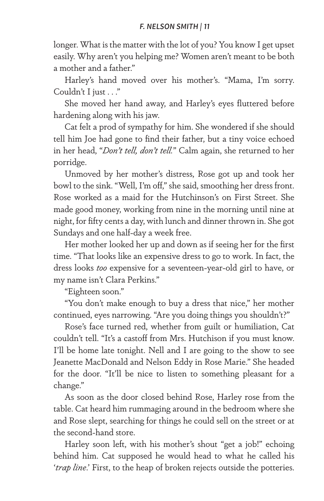longer. What is the matter with the lot of you? You know I get upset easily. Why aren't you helping me? Women aren't meant to be both a mother and a father."

Harley's hand moved over his mother's. "Mama, I'm sorry. Couldn't I just . . ."

She moved her hand away, and Harley's eyes fluttered before hardening along with his jaw.

Cat felt a prod of sympathy for him. She wondered if she should tell him Joe had gone to find their father, but a tiny voice echoed in her head, "*Don't tell, don't tell.*" Calm again, she returned to her porridge.

Unmoved by her mother's distress, Rose got up and took her bowl to the sink. "Well, I'm off," she said, smoothing her dress front. Rose worked as a maid for the Hutchinson's on First Street. She made good money, working from nine in the morning until nine at night, for fifty cents a day, with lunch and dinner thrown in. She got Sundays and one half-day a week free.

Her mother looked her up and down as if seeing her for the first time. "That looks like an expensive dress to go to work. In fact, the dress looks *too* expensive for a seventeen-year-old girl to have, or my name isn't Clara Perkins."

"Eighteen soon."

"You don't make enough to buy a dress that nice," her mother continued, eyes narrowing. "Are you doing things you shouldn't?"

Rose's face turned red, whether from guilt or humiliation, Cat couldn't tell. "It's a castoff from Mrs. Hutchison if you must know. I'll be home late tonight. Nell and I are going to the show to see Jeanette MacDonald and Nelson Eddy in Rose Marie." She headed for the door. "It'll be nice to listen to something pleasant for a change."

As soon as the door closed behind Rose, Harley rose from the table. Cat heard him rummaging around in the bedroom where she and Rose slept, searching for things he could sell on the street or at the second-hand store.

Harley soon left, with his mother's shout "get a job!" echoing behind him. Cat supposed he would head to what he called his '*trap line*.' First, to the heap of broken rejects outside the potteries.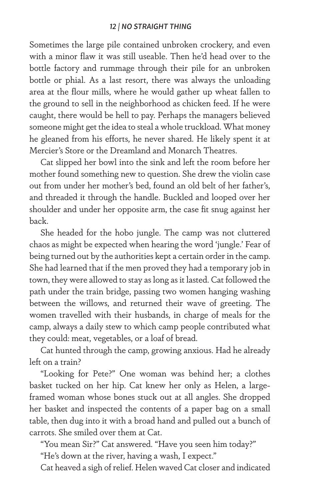Sometimes the large pile contained unbroken crockery, and even with a minor flaw it was still useable. Then he'd head over to the bottle factory and rummage through their pile for an unbroken bottle or phial. As a last resort, there was always the unloading area at the flour mills, where he would gather up wheat fallen to the ground to sell in the neighborhood as chicken feed. If he were caught, there would be hell to pay. Perhaps the managers believed someone might get the idea to steal a whole truckload. What money he gleaned from his efforts, he never shared. He likely spent it at Mercier's Store or the Dreamland and Monarch Theatres.

Cat slipped her bowl into the sink and left the room before her mother found something new to question. She drew the violin case out from under her mother's bed, found an old belt of her father's, and threaded it through the handle. Buckled and looped over her shoulder and under her opposite arm, the case fit snug against her back.

She headed for the hobo jungle. The camp was not cluttered chaos as might be expected when hearing the word 'jungle.' Fear of being turned out by the authorities kept a certain order in the camp. She had learned that if the men proved they had a temporary job in town, they were allowed to stay as long as it lasted. Cat followed the path under the train bridge, passing two women hanging washing between the willows, and returned their wave of greeting. The women travelled with their husbands, in charge of meals for the camp, always a daily stew to which camp people contributed what they could: meat, vegetables, or a loaf of bread.

Cat hunted through the camp, growing anxious. Had he already left on a train?

"Looking for Pete?" One woman was behind her; a clothes basket tucked on her hip. Cat knew her only as Helen, a largeframed woman whose bones stuck out at all angles. She dropped her basket and inspected the contents of a paper bag on a small table, then dug into it with a broad hand and pulled out a bunch of carrots. She smiled over them at Cat.

"You mean Sir?" Cat answered. "Have you seen him today?"

"He's down at the river, having a wash, I expect."

Cat heaved a sigh of relief. Helen waved Cat closer and indicated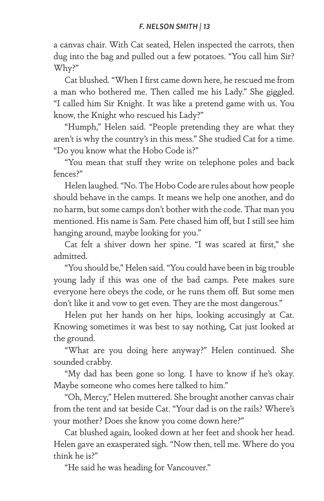a canvas chair. With Cat seated, Helen inspected the carrots, then dug into the bag and pulled out a few potatoes. "You call him Sir? Why?"

Cat blushed. "When I first came down here, he rescued me from a man who bothered me. Then called me his Lady." She giggled. "I called him Sir Knight. It was like a pretend game with us. You know, the Knight who rescued his Lady?"

"Humph," Helen said. "People pretending they are what they aren't is why the country's in this mess." She studied Cat for a time. "Do you know what the Hobo Code is?"

"You mean that stuff they write on telephone poles and back fences?"

Helen laughed. "No. The Hobo Code are rules about how people should behave in the camps. It means we help one another, and do no harm, but some camps don't bother with the code. That man you mentioned. His name is Sam. Pete chased him off, but I still see him hanging around, maybe looking for you."

Cat felt a shiver down her spine. "I was scared at first," she admitted.

"You should be," Helen said. "You could have been in big trouble young lady if this was one of the bad camps. Pete makes sure everyone here obeys the code, or he runs them off. But some men don't like it and vow to get even. They are the most dangerous."

Helen put her hands on her hips, looking accusingly at Cat. Knowing sometimes it was best to say nothing, Cat just looked at the ground.

"What are you doing here anyway?" Helen continued. She sounded crabby.

"My dad has been gone so long. I have to know if he's okay. Maybe someone who comes here talked to him."

"Oh, Mercy," Helen muttered. She brought another canvas chair from the tent and sat beside Cat. "Your dad is on the rails? Where's your mother? Does she know you come down here?"

Cat blushed again, looked down at her feet and shook her head. Helen gave an exasperated sigh. "Now then, tell me. Where do you think he is?"

"He said he was heading for Vancouver."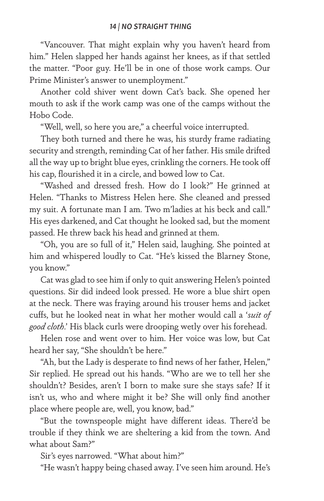"Vancouver. That might explain why you haven't heard from him." Helen slapped her hands against her knees, as if that settled the matter. "Poor guy. He'll be in one of those work camps. Our Prime Minister's answer to unemployment."

Another cold shiver went down Cat's back. She opened her mouth to ask if the work camp was one of the camps without the Hobo Code.

"Well, well, so here you are," a cheerful voice interrupted.

They both turned and there he was, his sturdy frame radiating security and strength, reminding Cat of her father. His smile drifted all the way up to bright blue eyes, crinkling the corners. He took off his cap, flourished it in a circle, and bowed low to Cat.

"Washed and dressed fresh. How do I look?" He grinned at Helen. "Thanks to Mistress Helen here. She cleaned and pressed my suit. A fortunate man I am. Two m'ladies at his beck and call." His eyes darkened, and Cat thought he looked sad, but the moment passed. He threw back his head and grinned at them.

"Oh, you are so full of it," Helen said, laughing. She pointed at him and whispered loudly to Cat. "He's kissed the Blarney Stone, you know."

Cat was glad to see him if only to quit answering Helen's pointed questions. Sir did indeed look pressed. He wore a blue shirt open at the neck. There was fraying around his trouser hems and jacket cuffs, but he looked neat in what her mother would call a '*suit of good cloth*.' His black curls were drooping wetly over his forehead.

Helen rose and went over to him. Her voice was low, but Cat heard her say, "She shouldn't be here."

"Ah, but the Lady is desperate to find news of her father, Helen," Sir replied. He spread out his hands. "Who are we to tell her she shouldn't? Besides, aren't I born to make sure she stays safe? If it isn't us, who and where might it be? She will only find another place where people are, well, you know, bad."

"But the townspeople might have different ideas. There'd be trouble if they think we are sheltering a kid from the town. And what about Sam?"

Sir's eyes narrowed. "What about him?"

"He wasn't happy being chased away. I've seen him around. He's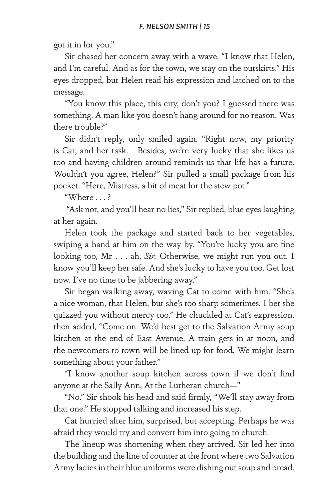got it in for you."

Sir chased her concern away with a wave. "I know that Helen, and I'm careful. And as for the town, we stay on the outskirts." His eyes dropped, but Helen read his expression and latched on to the message.

"You know this place, this city, don't you? I guessed there was something. A man like you doesn't hang around for no reason. Was there trouble?"

Sir didn't reply, only smiled again. "Right now, my priority is Cat, and her task. Besides, we're very lucky that she likes us too and having children around reminds us that life has a future. Wouldn't you agree, Helen?" Sir pulled a small package from his pocket. "Here, Mistress, a bit of meat for the stew pot."

"Where  $\rightarrow$ 

 "Ask not, and you'll hear no lies," Sir replied, blue eyes laughing at her again.

Helen took the package and started back to her vegetables, swiping a hand at him on the way by. "You're lucky you are fine looking too, Mr . . . ah, *Sir.* Otherwise, we might run you out. I know you'll keep her safe. And she's lucky to have you too. Get lost now. I've no time to be jabbering away."

Sir began walking away, waving Cat to come with him. "She's a nice woman, that Helen, but she's too sharp sometimes. I bet she quizzed you without mercy too." He chuckled at Cat's expression, then added, "Come on. We'd best get to the Salvation Army soup kitchen at the end of East Avenue. A train gets in at noon, and the newcomers to town will be lined up for food. We might learn something about your father."

"I know another soup kitchen across town if we don't find anyone at the Sally Ann, At the Lutheran church—"

"No." Sir shook his head and said firmly, "We'll stay away from that one." He stopped talking and increased his step.

Cat hurried after him, surprised, but accepting. Perhaps he was afraid they would try and convert him into going to church.

The lineup was shortening when they arrived. Sir led her into the building and the line of counter at the front where two Salvation Army ladies in their blue uniforms were dishing out soup and bread.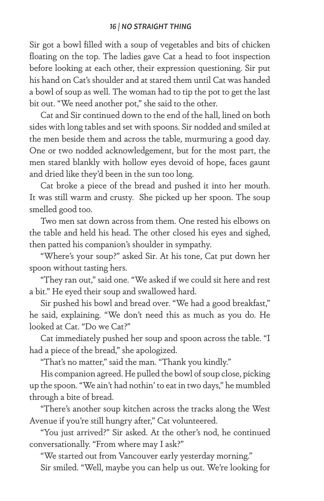Sir got a bowl filled with a soup of vegetables and bits of chicken floating on the top. The ladies gave Cat a head to foot inspection before looking at each other, their expression questioning. Sir put his hand on Cat's shoulder and at stared them until Cat was handed a bowl of soup as well. The woman had to tip the pot to get the last bit out. "We need another pot," she said to the other.

Cat and Sir continued down to the end of the hall, lined on both sides with long tables and set with spoons. Sir nodded and smiled at the men beside them and across the table, murmuring a good day. One or two nodded acknowledgement, but for the most part, the men stared blankly with hollow eyes devoid of hope, faces gaunt and dried like they'd been in the sun too long.

Cat broke a piece of the bread and pushed it into her mouth. It was still warm and crusty. She picked up her spoon. The soup smelled good too.

Two men sat down across from them. One rested his elbows on the table and held his head. The other closed his eyes and sighed, then patted his companion's shoulder in sympathy.

"Where's your soup?" asked Sir. At his tone, Cat put down her spoon without tasting hers.

"They ran out," said one. "We asked if we could sit here and rest a bit." He eyed their soup and swallowed hard.

Sir pushed his bowl and bread over. "We had a good breakfast," he said, explaining. "We don't need this as much as you do. He looked at Cat. "Do we Cat?"

Cat immediately pushed her soup and spoon across the table. "I had a piece of the bread," she apologized.

"That's no matter," said the man. "Thank you kindly."

His companion agreed. He pulled the bowl of soup close, picking up the spoon. "We ain't had nothin' to eat in two days," he mumbled through a bite of bread.

"There's another soup kitchen across the tracks along the West Avenue if you're still hungry after," Cat volunteered.

"You just arrived?" Sir asked. At the other's nod, he continued conversationally. "From where may I ask?"

"We started out from Vancouver early yesterday morning." Sir smiled. "Well, maybe you can help us out. We're looking for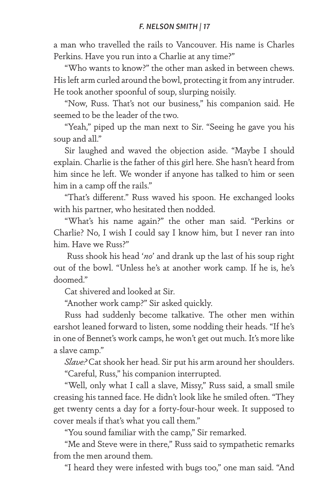a man who travelled the rails to Vancouver. His name is Charles Perkins. Have you run into a Charlie at any time?"

"Who wants to know?" the other man asked in between chews. His left arm curled around the bowl, protecting it from any intruder. He took another spoonful of soup, slurping noisily.

"Now, Russ. That's not our business," his companion said. He seemed to be the leader of the two.

"Yeah," piped up the man next to Sir. "Seeing he gave you his soup and all."

Sir laughed and waved the objection aside. "Maybe I should explain. Charlie is the father of this girl here. She hasn't heard from him since he left. We wonder if anyone has talked to him or seen him in a camp off the rails."

"That's different." Russ waved his spoon. He exchanged looks with his partner, who hesitated then nodded.

"What's his name again?" the other man said. "Perkins or Charlie? No, I wish I could say I know him, but I never ran into him. Have we Russ?"

 Russ shook his head '*no*' and drank up the last of his soup right out of the bowl. "Unless he's at another work camp. If he is, he's doomed"

Cat shivered and looked at Sir.

"Another work camp?" Sir asked quickly.

Russ had suddenly become talkative. The other men within earshot leaned forward to listen, some nodding their heads. "If he's in one of Bennet's work camps, he won't get out much. It's more like a slave camp."

*Slave?* Cat shook her head. Sir put his arm around her shoulders. "Careful, Russ," his companion interrupted.

"Well, only what I call a slave, Missy," Russ said, a small smile creasing his tanned face. He didn't look like he smiled often. "They get twenty cents a day for a forty-four-hour week. It supposed to cover meals if that's what you call them."

"You sound familiar with the camp," Sir remarked.

"Me and Steve were in there," Russ said to sympathetic remarks from the men around them.

"I heard they were infested with bugs too," one man said. "And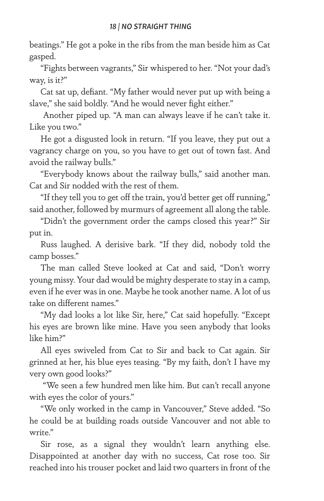beatings." He got a poke in the ribs from the man beside him as Cat gasped.

"Fights between vagrants," Sir whispered to her. "Not your dad's way, is it?"

Cat sat up, defiant. "My father would never put up with being a slave," she said boldly. "And he would never fight either."

 Another piped up. "A man can always leave if he can't take it. Like you two."

He got a disgusted look in return. "If you leave, they put out a vagrancy charge on you, so you have to get out of town fast. And avoid the railway bulls."

"Everybody knows about the railway bulls," said another man. Cat and Sir nodded with the rest of them.

"If they tell you to get off the train, you'd better get off running," said another, followed by murmurs of agreement all along the table.

"Didn't the government order the camps closed this year?" Sir put in.

Russ laughed. A derisive bark. "If they did, nobody told the camp bosses."

The man called Steve looked at Cat and said, "Don't worry young missy. Your dad would be mighty desperate to stay in a camp, even if he ever was in one. Maybe he took another name. A lot of us take on different names."

"My dad looks a lot like Sir, here," Cat said hopefully. "Except his eyes are brown like mine. Have you seen anybody that looks like him?"

All eyes swiveled from Cat to Sir and back to Cat again. Sir grinned at her, his blue eyes teasing. "By my faith, don't I have my very own good looks?"

 "We seen a few hundred men like him. But can't recall anyone with eyes the color of yours."

"We only worked in the camp in Vancouver," Steve added. "So he could be at building roads outside Vancouver and not able to write."

Sir rose, as a signal they wouldn't learn anything else. Disappointed at another day with no success, Cat rose too. Sir reached into his trouser pocket and laid two quarters in front of the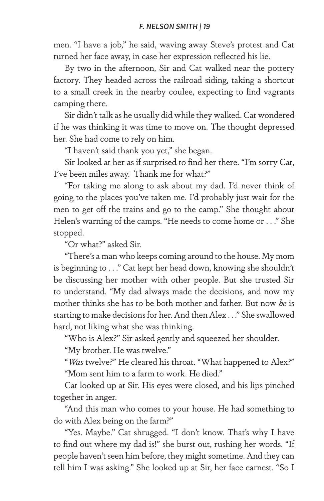men. "I have a job," he said, waving away Steve's protest and Cat turned her face away, in case her expression reflected his lie.

By two in the afternoon, Sir and Cat walked near the pottery factory. They headed across the railroad siding, taking a shortcut to a small creek in the nearby coulee, expecting to find vagrants camping there.

Sir didn't talk as he usually did while they walked. Cat wondered if he was thinking it was time to move on. The thought depressed her. She had come to rely on him.

"I haven't said thank you yet," she began.

Sir looked at her as if surprised to find her there. "I'm sorry Cat, I've been miles away. Thank me for what?"

"For taking me along to ask about my dad. I'd never think of going to the places you've taken me. I'd probably just wait for the men to get off the trains and go to the camp." She thought about Helen's warning of the camps. "He needs to come home or . . ." She stopped.

"Or what?" asked Sir.

"There's a man who keeps coming around to the house. My mom is beginning to . . ." Cat kept her head down, knowing she shouldn't be discussing her mother with other people. But she trusted Sir to understand. "My dad always made the decisions, and now my mother thinks she has to be both mother and father. But now *he* is starting to make decisions for her. And then Alex . . ." She swallowed hard, not liking what she was thinking.

"Who is Alex?" Sir asked gently and squeezed her shoulder.

"My brother. He was twelve."

"*Was* twelve?" He cleared his throat. "What happened to Alex?" "Mom sent him to a farm to work. He died."

Cat looked up at Sir. His eyes were closed, and his lips pinched together in anger.

"And this man who comes to your house. He had something to do with Alex being on the farm?"

"Yes. Maybe." Cat shrugged. "I don't know. That's why I have to find out where my dad is!" she burst out, rushing her words. "If people haven't seen him before, they might sometime. And they can tell him I was asking." She looked up at Sir, her face earnest. "So I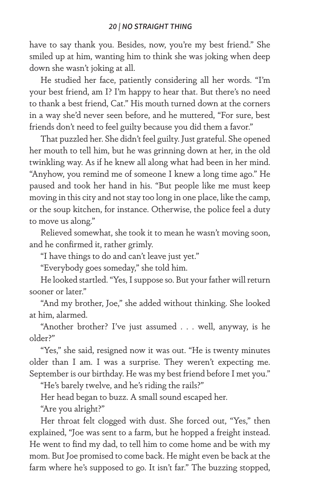have to say thank you. Besides, now, you're my best friend." She smiled up at him, wanting him to think she was joking when deep down she wasn't joking at all.

He studied her face, patiently considering all her words. "I'm your best friend, am I? I'm happy to hear that. But there's no need to thank a best friend, Cat." His mouth turned down at the corners in a way she'd never seen before, and he muttered, "For sure, best friends don't need to feel guilty because you did them a favor."

That puzzled her. She didn't feel guilty. Just grateful. She opened her mouth to tell him, but he was grinning down at her, in the old twinkling way. As if he knew all along what had been in her mind. "Anyhow, you remind me of someone I knew a long time ago." He paused and took her hand in his. "But people like me must keep moving in this city and not stay too long in one place, like the camp, or the soup kitchen, for instance. Otherwise, the police feel a duty to move us along."

Relieved somewhat, she took it to mean he wasn't moving soon, and he confirmed it, rather grimly.

"I have things to do and can't leave just yet."

"Everybody goes someday," she told him.

He looked startled. "Yes, I suppose so. But your father will return sooner or later."

"And my brother, Joe," she added without thinking. She looked at him, alarmed.

"Another brother? I've just assumed . . . well, anyway, is he older?"

"Yes," she said, resigned now it was out. "He is twenty minutes older than I am. I was a surprise. They weren't expecting me. September is our birthday. He was my best friend before I met you."

"He's barely twelve, and he's riding the rails?"

Her head began to buzz. A small sound escaped her.

"Are you alright?"

Her throat felt clogged with dust. She forced out, "Yes," then explained, "Joe was sent to a farm, but he hopped a freight instead. He went to find my dad, to tell him to come home and be with my mom. But Joe promised to come back. He might even be back at the farm where he's supposed to go. It isn't far." The buzzing stopped,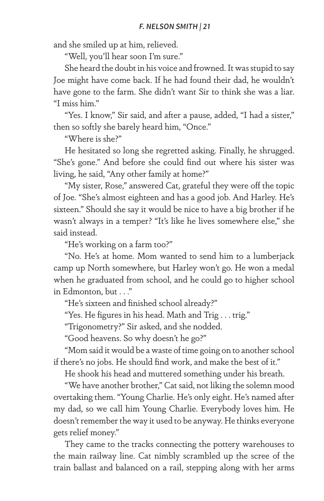and she smiled up at him, relieved.

"Well, you'll hear soon I'm sure."

She heard the doubt in his voice and frowned. It was stupid to say Joe might have come back. If he had found their dad, he wouldn't have gone to the farm. She didn't want Sir to think she was a liar. "I miss him."

"Yes. I know," Sir said, and after a pause, added, "I had a sister," then so softly she barely heard him, "Once."

"Where is she?"

He hesitated so long she regretted asking. Finally, he shrugged. "She's gone." And before she could find out where his sister was living, he said, "Any other family at home?"

"My sister, Rose," answered Cat, grateful they were off the topic of Joe. "She's almost eighteen and has a good job. And Harley. He's sixteen." Should she say it would be nice to have a big brother if he wasn't always in a temper? "It's like he lives somewhere else," she said instead.

"He's working on a farm too?"

"No. He's at home. Mom wanted to send him to a lumberjack camp up North somewhere, but Harley won't go. He won a medal when he graduated from school, and he could go to higher school in Edmonton, but . . ."

"He's sixteen and finished school already?"

"Yes. He figures in his head. Math and Trig . . . trig."

"Trigonometry?" Sir asked, and she nodded.

"Good heavens. So why doesn't he go?"

"Mom said it would be a waste of time going on to another school if there's no jobs. He should find work, and make the best of it."

He shook his head and muttered something under his breath.

"We have another brother," Cat said, not liking the solemn mood overtaking them. "Young Charlie. He's only eight. He's named after my dad, so we call him Young Charlie. Everybody loves him. He doesn't remember the way it used to be anyway. He thinks everyone gets relief money."

They came to the tracks connecting the pottery warehouses to the main railway line. Cat nimbly scrambled up the scree of the train ballast and balanced on a rail, stepping along with her arms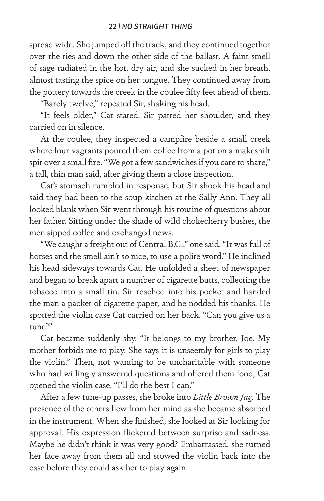spread wide. She jumped off the track, and they continued together over the ties and down the other side of the ballast. A faint smell of sage radiated in the hot, dry air, and she sucked in her breath, almost tasting the spice on her tongue. They continued away from the pottery towards the creek in the coulee fifty feet ahead of them.

"Barely twelve," repeated Sir, shaking his head.

"It feels older," Cat stated. Sir patted her shoulder, and they carried on in silence.

At the coulee, they inspected a campfire beside a small creek where four vagrants poured them coffee from a pot on a makeshift spit over a small fire. "We got a few sandwiches if you care to share," a tall, thin man said, after giving them a close inspection.

Cat's stomach rumbled in response, but Sir shook his head and said they had been to the soup kitchen at the Sally Ann. They all looked blank when Sir went through his routine of questions about her father. Sitting under the shade of wild chokecherry bushes, the men sipped coffee and exchanged news.

"We caught a freight out of Central B.C.," one said. "It was full of horses and the smell ain't so nice, to use a polite word." He inclined his head sideways towards Cat. He unfolded a sheet of newspaper and began to break apart a number of cigarette butts, collecting the tobacco into a small tin. Sir reached into his pocket and handed the man a packet of cigarette paper, and he nodded his thanks. He spotted the violin case Cat carried on her back. "Can you give us a tune?"

Cat became suddenly shy. "It belongs to my brother, Joe. My mother forbids me to play. She says it is unseemly for girls to play the violin." Then, not wanting to be uncharitable with someone who had willingly answered questions and offered them food, Cat opened the violin case. "I'll do the best I can."

After a few tune-up passes, she broke into *Little Brown Jug*. The presence of the others flew from her mind as she became absorbed in the instrument. When she finished, she looked at Sir looking for approval. His expression flickered between surprise and sadness. Maybe he didn't think it was very good? Embarrassed, she turned her face away from them all and stowed the violin back into the case before they could ask her to play again.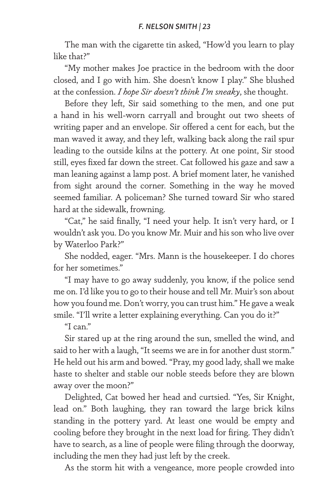The man with the cigarette tin asked, "How'd you learn to play like that?"

"My mother makes Joe practice in the bedroom with the door closed, and I go with him. She doesn't know I play." She blushed at the confession. *I hope Sir doesn't think I'm sneaky*, she thought.

Before they left, Sir said something to the men, and one put a hand in his well-worn carryall and brought out two sheets of writing paper and an envelope. Sir offered a cent for each, but the man waved it away, and they left, walking back along the rail spur leading to the outside kilns at the pottery. At one point, Sir stood still, eyes fixed far down the street. Cat followed his gaze and saw a man leaning against a lamp post. A brief moment later, he vanished from sight around the corner. Something in the way he moved seemed familiar. A policeman? She turned toward Sir who stared hard at the sidewalk, frowning.

"Cat," he said finally, "I need your help. It isn't very hard, or I wouldn't ask you. Do you know Mr. Muir and his son who live over by Waterloo Park?"

She nodded, eager. "Mrs. Mann is the housekeeper. I do chores for her sometimes."

"I may have to go away suddenly, you know, if the police send me on. I'd like you to go to their house and tell Mr. Muir's son about how you found me. Don't worry, you can trust him." He gave a weak smile. "I'll write a letter explaining everything. Can you do it?"

"I can."

Sir stared up at the ring around the sun, smelled the wind, and said to her with a laugh, "It seems we are in for another dust storm." He held out his arm and bowed. "Pray, my good lady, shall we make haste to shelter and stable our noble steeds before they are blown away over the moon?"

Delighted, Cat bowed her head and curtsied. "Yes, Sir Knight, lead on." Both laughing, they ran toward the large brick kilns standing in the pottery yard. At least one would be empty and cooling before they brought in the next load for firing. They didn't have to search, as a line of people were filing through the doorway, including the men they had just left by the creek.

As the storm hit with a vengeance, more people crowded into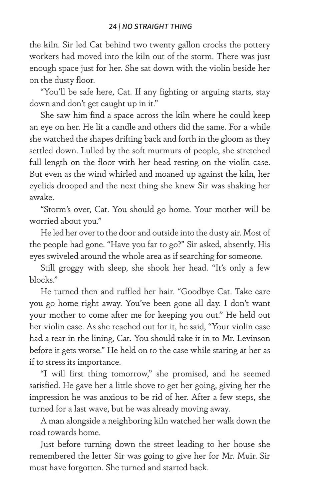the kiln. Sir led Cat behind two twenty gallon crocks the pottery workers had moved into the kiln out of the storm. There was just enough space just for her. She sat down with the violin beside her on the dusty floor.

"You'll be safe here, Cat. If any fighting or arguing starts, stay down and don't get caught up in it."

She saw him find a space across the kiln where he could keep an eye on her. He lit a candle and others did the same. For a while she watched the shapes drifting back and forth in the gloom as they settled down. Lulled by the soft murmurs of people, she stretched full length on the floor with her head resting on the violin case. But even as the wind whirled and moaned up against the kiln, her eyelids drooped and the next thing she knew Sir was shaking her awake.

"Storm's over, Cat. You should go home. Your mother will be worried about you."

He led her over to the door and outside into the dusty air. Most of the people had gone. "Have you far to go?" Sir asked, absently. His eyes swiveled around the whole area as if searching for someone.

Still groggy with sleep, she shook her head. "It's only a few blocks."

He turned then and ruffled her hair. "Goodbye Cat. Take care you go home right away. You've been gone all day. I don't want your mother to come after me for keeping you out." He held out her violin case. As she reached out for it, he said, "Your violin case had a tear in the lining, Cat. You should take it in to Mr. Levinson before it gets worse." He held on to the case while staring at her as if to stress its importance.

"I will first thing tomorrow," she promised, and he seemed satisfied. He gave her a little shove to get her going, giving her the impression he was anxious to be rid of her. After a few steps, she turned for a last wave, but he was already moving away.

A man alongside a neighboring kiln watched her walk down the road towards home.

Just before turning down the street leading to her house she remembered the letter Sir was going to give her for Mr. Muir. Sir must have forgotten. She turned and started back.